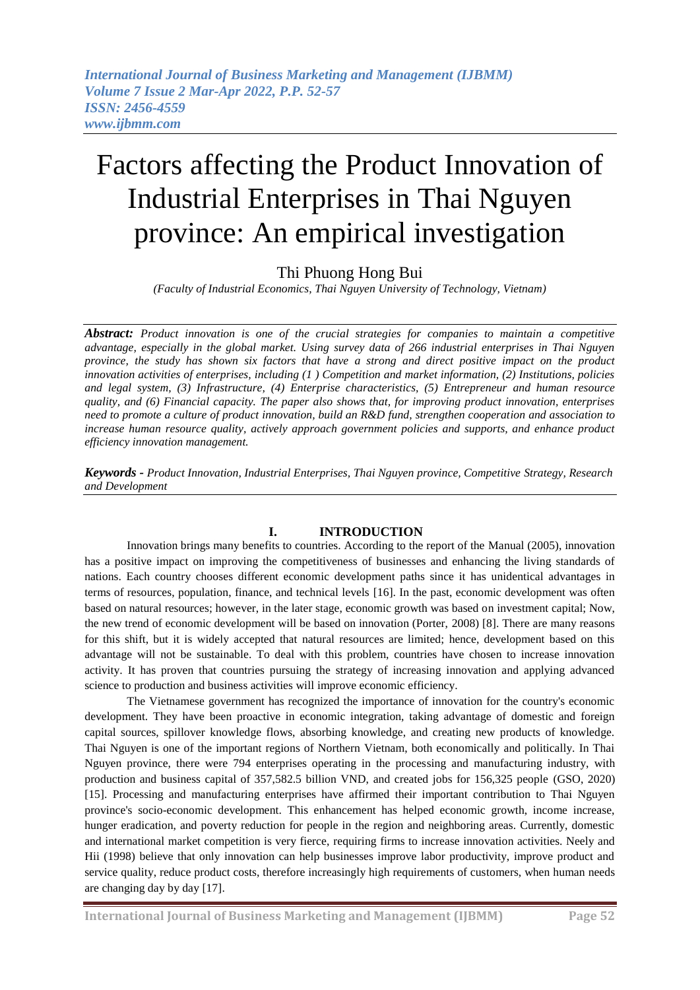# Factors affecting the Product Innovation of Industrial Enterprises in Thai Nguyen province: An empirical investigation

## Thi Phuong Hong Bui

*(Faculty of Industrial Economics, Thai Nguyen University of Technology, Vietnam)*

*Abstract: Product innovation is one of the crucial strategies for companies to maintain a competitive advantage, especially in the global market. Using survey data of 266 industrial enterprises in Thai Nguyen province, the study has shown six factors that have a strong and direct positive impact on the product innovation activities of enterprises, including (1 ) Competition and market information, (2) Institutions, policies and legal system, (3) Infrastructure, (4) Enterprise characteristics, (5) Entrepreneur and human resource quality, and (6) Financial capacity. The paper also shows that, for improving product innovation, enterprises need to promote a culture of product innovation, build an R&D fund, strengthen cooperation and association to increase human resource quality, actively approach government policies and supports, and enhance product efficiency innovation management.*

*Keywords - Product Innovation, Industrial Enterprises, Thai Nguyen province, Competitive Strategy, Research and Development*

## **I. INTRODUCTION**

Innovation brings many benefits to countries. According to the report of the Manual (2005), innovation has a positive impact on improving the competitiveness of businesses and enhancing the living standards of nations. Each country chooses different economic development paths since it has unidentical advantages in terms of resources, population, finance, and technical levels [16]. In the past, economic development was often based on natural resources; however, in the later stage, economic growth was based on investment capital; Now, the new trend of economic development will be based on innovation (Porter, 2008) [8]. There are many reasons for this shift, but it is widely accepted that natural resources are limited; hence, development based on this advantage will not be sustainable. To deal with this problem, countries have chosen to increase innovation activity. It has proven that countries pursuing the strategy of increasing innovation and applying advanced science to production and business activities will improve economic efficiency.

The Vietnamese government has recognized the importance of innovation for the country's economic development. They have been proactive in economic integration, taking advantage of domestic and foreign capital sources, spillover knowledge flows, absorbing knowledge, and creating new products of knowledge. Thai Nguyen is one of the important regions of Northern Vietnam, both economically and politically. In Thai Nguyen province, there were 794 enterprises operating in the processing and manufacturing industry, with production and business capital of 357,582.5 billion VND, and created jobs for 156,325 people (GSO, 2020) [15]. Processing and manufacturing enterprises have affirmed their important contribution to Thai Nguyen province's socio-economic development. This enhancement has helped economic growth, income increase, hunger eradication, and poverty reduction for people in the region and neighboring areas. Currently, domestic and international market competition is very fierce, requiring firms to increase innovation activities. Neely and Hii (1998) believe that only innovation can help businesses improve labor productivity, improve product and service quality, reduce product costs, therefore increasingly high requirements of customers, when human needs are changing day by day [17].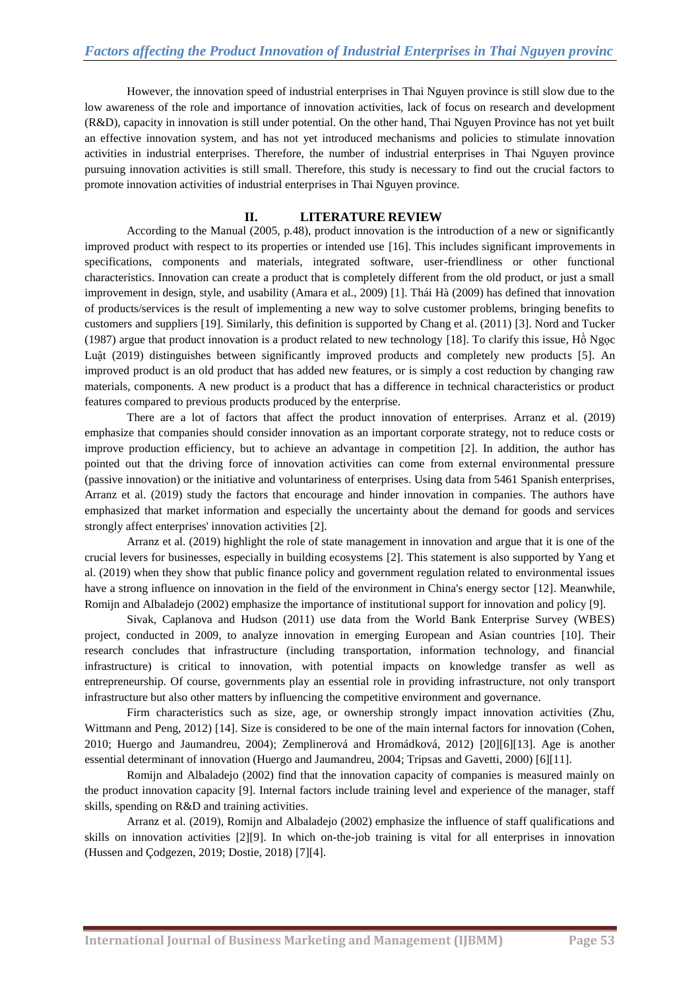However, the innovation speed of industrial enterprises in Thai Nguyen province is still slow due to the low awareness of the role and importance of innovation activities, lack of focus on research and development (R&D), capacity in innovation is still under potential. On the other hand, Thai Nguyen Province has not yet built an effective innovation system, and has not yet introduced mechanisms and policies to stimulate innovation activities in industrial enterprises. Therefore, the number of industrial enterprises in Thai Nguyen province pursuing innovation activities is still small. Therefore, this study is necessary to find out the crucial factors to promote innovation activities of industrial enterprises in Thai Nguyen province.

## **II. LITERATURE REVIEW**

According to the Manual (2005, p.48), product innovation is the introduction of a new or significantly improved product with respect to its properties or intended use [16]. This includes significant improvements in specifications, components and materials, integrated software, user-friendliness or other functional characteristics. Innovation can create a product that is completely different from the old product, or just a small improvement in design, style, and usability (Amara et al., 2009) [1]. Thái Hà (2009) has defined that innovation of products/services is the result of implementing a new way to solve customer problems, bringing benefits to customers and suppliers [19]. Similarly, this definition is supported by Chang et al. (2011) [3]. Nord and Tucker (1987) argue that product innovation is a product related to new technology [18]. To clarify this issue, Hồ Ngọc Luật (2019) distinguishes between significantly improved products and completely new products [5]. An improved product is an old product that has added new features, or is simply a cost reduction by changing raw materials, components. A new product is a product that has a difference in technical characteristics or product features compared to previous products produced by the enterprise.

There are a lot of factors that affect the product innovation of enterprises. Arranz et al. (2019) emphasize that companies should consider innovation as an important corporate strategy, not to reduce costs or improve production efficiency, but to achieve an advantage in competition [2]. In addition, the author has pointed out that the driving force of innovation activities can come from external environmental pressure (passive innovation) or the initiative and voluntariness of enterprises. Using data from 5461 Spanish enterprises, Arranz et al. (2019) study the factors that encourage and hinder innovation in companies. The authors have emphasized that market information and especially the uncertainty about the demand for goods and services strongly affect enterprises' innovation activities [2].

Arranz et al. (2019) highlight the role of state management in innovation and argue that it is one of the crucial levers for businesses, especially in building ecosystems [2]. This statement is also supported by Yang et al. (2019) when they show that public finance policy and government regulation related to environmental issues have a strong influence on innovation in the field of the environment in China's energy sector [12]. Meanwhile, Romijn and Albaladejo (2002) emphasize the importance of institutional support for innovation and policy [9].

Sivak, Caplanova and Hudson (2011) use data from the World Bank Enterprise Survey (WBES) project, conducted in 2009, to analyze innovation in emerging European and Asian countries [10]. Their research concludes that infrastructure (including transportation, information technology, and financial infrastructure) is critical to innovation, with potential impacts on knowledge transfer as well as entrepreneurship. Of course, governments play an essential role in providing infrastructure, not only transport infrastructure but also other matters by influencing the competitive environment and governance.

Firm characteristics such as size, age, or ownership strongly impact innovation activities (Zhu, Wittmann and Peng, 2012) [14]. Size is considered to be one of the main internal factors for innovation (Cohen, 2010; Huergo and Jaumandreu, 2004); Zemplinerová and Hromádková, 2012) [20][6][13]. Age is another essential determinant of innovation (Huergo and Jaumandreu, 2004; Tripsas and Gavetti, 2000) [6][11].

Romijn and Albaladejo (2002) find that the innovation capacity of companies is measured mainly on the product innovation capacity [9]. Internal factors include training level and experience of the manager, staff skills, spending on R&D and training activities.

Arranz et al. (2019), Romijn and Albaladejo (2002) emphasize the influence of staff qualifications and skills on innovation activities [2][9]. In which on-the-job training is vital for all enterprises in innovation (Hussen and Çodgezen, 2019; Dostie, 2018) [7][4].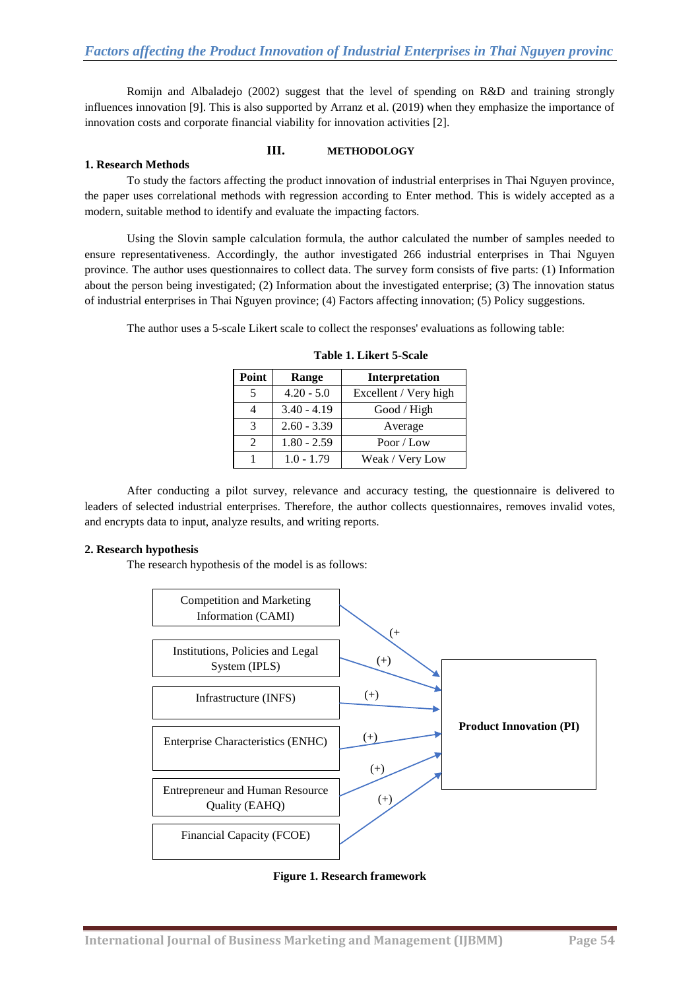Romijn and Albaladejo (2002) suggest that the level of spending on R&D and training strongly influences innovation [9]. This is also supported by Arranz et al. (2019) when they emphasize the importance of innovation costs and corporate financial viability for innovation activities [2].

#### **1. Research Methods**

#### **III. METHODOLOGY**

To study the factors affecting the product innovation of industrial enterprises in Thai Nguyen province, the paper uses correlational methods with regression according to Enter method. This is widely accepted as a modern, suitable method to identify and evaluate the impacting factors.

## Using the Slovin sample calculation formula, the author calculated the number of samples needed to ensure representativeness. Accordingly, the author investigated 266 industrial enterprises in Thai Nguyen province. The author uses questionnaires to collect data. The survey form consists of five parts: (1) Information about the person being investigated; (2) Information about the investigated enterprise; (3) The innovation status of industrial enterprises in Thai Nguyen province; (4) Factors affecting innovation; (5) Policy suggestions.

The author uses a 5-scale Likert scale to collect the responses' evaluations as following table:

| Point | Range         | Interpretation        |  |  |
|-------|---------------|-----------------------|--|--|
|       | $4.20 - 5.0$  | Excellent / Very high |  |  |
|       | $3.40 - 4.19$ | Good / High           |  |  |
| 3     | $2.60 - 3.39$ | Average               |  |  |
|       | $1.80 - 2.59$ | Poor / Low            |  |  |
|       | $1.0 - 1.79$  | Weak / Very Low       |  |  |

**Table 1. Likert 5-Scale**

After conducting a pilot survey, relevance and accuracy testing, the questionnaire is delivered to leaders of selected industrial enterprises. Therefore, the author collects questionnaires, removes invalid votes, and encrypts data to input, analyze results, and writing reports.

#### **2. Research hypothesis**

The research hypothesis of the model is as follows:



**Figure 1. Research framework**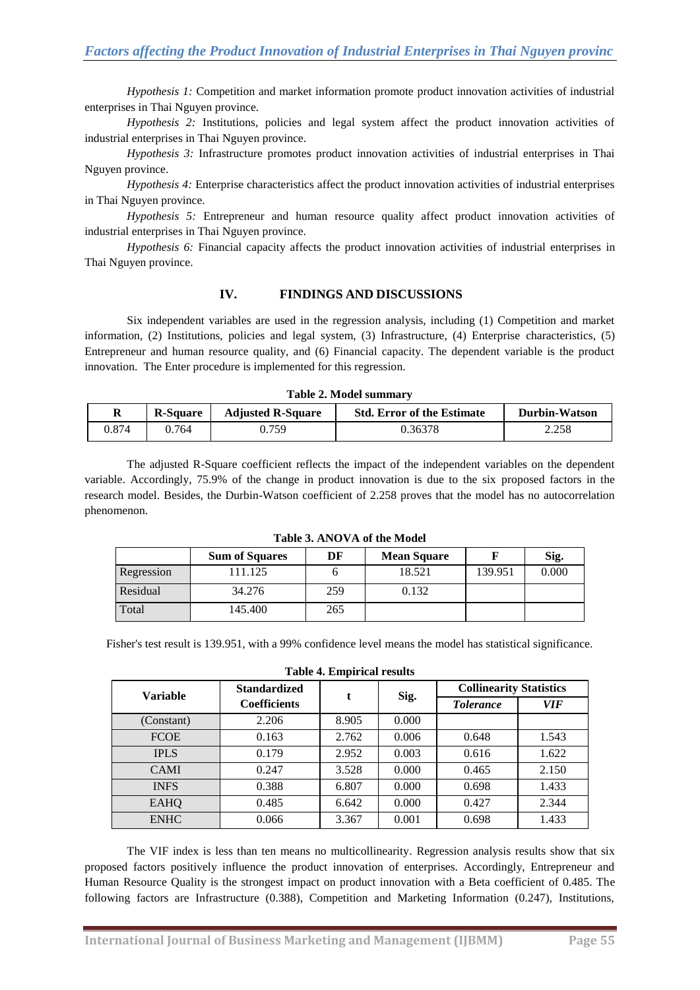*Hypothesis 1:* Competition and market information promote product innovation activities of industrial enterprises in Thai Nguyen province.

*Hypothesis 2:* Institutions, policies and legal system affect the product innovation activities of industrial enterprises in Thai Nguyen province.

*Hypothesis 3:* Infrastructure promotes product innovation activities of industrial enterprises in Thai Nguyen province.

*Hypothesis 4:* Enterprise characteristics affect the product innovation activities of industrial enterprises in Thai Nguyen province.

*Hypothesis 5:* Entrepreneur and human resource quality affect product innovation activities of industrial enterprises in Thai Nguyen province.

*Hypothesis 6:* Financial capacity affects the product innovation activities of industrial enterprises in Thai Nguyen province.

### **IV. FINDINGS AND DISCUSSIONS**

Six independent variables are used in the regression analysis, including (1) Competition and market information, (2) Institutions, policies and legal system, (3) Infrastructure, (4) Enterprise characteristics, (5) Entrepreneur and human resource quality, and (6) Financial capacity. The dependent variable is the product innovation. The Enter procedure is implemented for this regression.

| Table 2. Model summary |  |                              |                                   |                      |  |  |
|------------------------|--|------------------------------|-----------------------------------|----------------------|--|--|
|                        |  | R-Square   Adjusted R-Square | <b>Std. Error of the Estimate</b> | <b>Durbin-Watson</b> |  |  |

0.874 0.764 0.759 0.36378 2.258

The adjusted R-Square coefficient reflects the impact of the independent variables on the dependent variable. Accordingly, 75.9% of the change in product innovation is due to the six proposed factors in the research model. Besides, the Durbin-Watson coefficient of 2.258 proves that the model has no autocorrelation phenomenon.

| TWO IS THE R. P. LEWIS CO., LANSING MICH. |                       |     |                    |         |       |
|-------------------------------------------|-----------------------|-----|--------------------|---------|-------|
|                                           | <b>Sum of Squares</b> | DF  | <b>Mean Square</b> |         | Sig.  |
| Regression                                | 11.125                |     | 18.521             | 139.951 | 0.000 |
| Residual                                  | 34.276                | 259 | 0.132              |         |       |
| Total                                     | 145.400               | 265 |                    |         |       |

**Table 3. ANOVA of the Model**

Fisher's test result is 139.951, with a 99% confidence level means the model has statistical significance. **Table 4. Empirical results**

| Table 4. Empirical results |                                            |       |       |                                |       |  |
|----------------------------|--------------------------------------------|-------|-------|--------------------------------|-------|--|
| <b>Variable</b>            | <b>Standardized</b><br><b>Coefficients</b> |       | Sig.  | <b>Collinearity Statistics</b> |       |  |
|                            |                                            |       |       | <i>Tolerance</i>               | VIF   |  |
| (Constant)                 | 2.206                                      | 8.905 | 0.000 |                                |       |  |
| <b>FCOE</b>                | 0.163                                      | 2.762 | 0.006 | 0.648                          | 1.543 |  |
| <b>IPLS</b>                | 0.179                                      | 2.952 | 0.003 | 0.616                          | 1.622 |  |
| <b>CAMI</b>                | 0.247                                      | 3.528 | 0.000 | 0.465                          | 2.150 |  |
| <b>INFS</b>                | 0.388                                      | 6.807 | 0.000 | 0.698                          | 1.433 |  |
| <b>EAHQ</b>                | 0.485                                      | 6.642 | 0.000 | 0.427                          | 2.344 |  |
| <b>ENHC</b>                | 0.066                                      | 3.367 | 0.001 | 0.698                          | 1.433 |  |

The VIF index is less than ten means no multicollinearity. Regression analysis results show that six proposed factors positively influence the product innovation of enterprises. Accordingly, Entrepreneur and Human Resource Quality is the strongest impact on product innovation with a Beta coefficient of 0.485. The following factors are Infrastructure (0.388), Competition and Marketing Information (0.247), Institutions,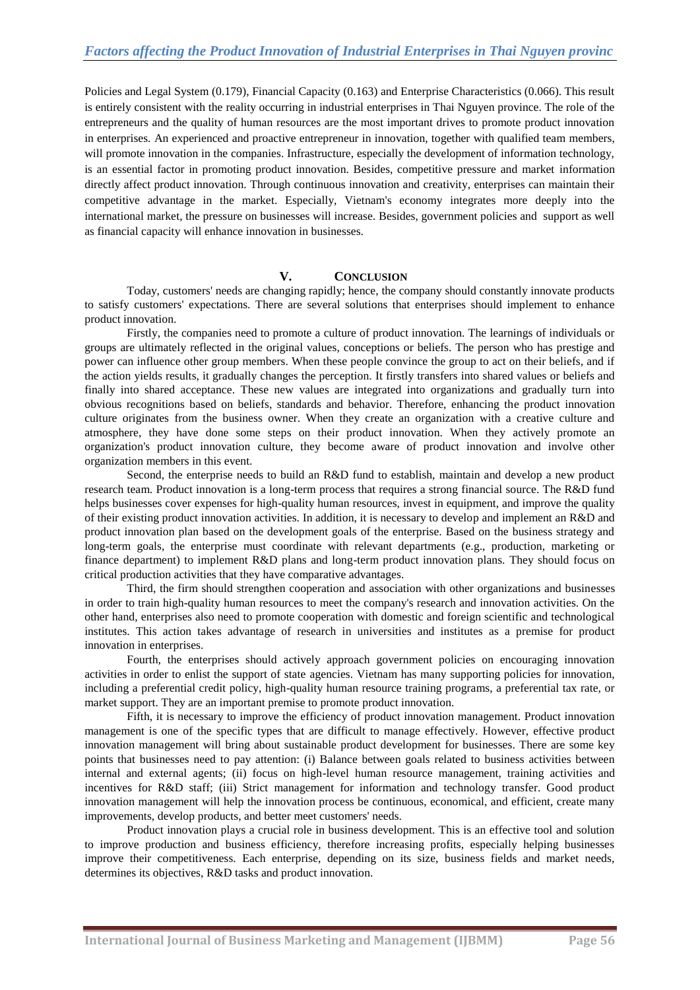Policies and Legal System (0.179), Financial Capacity (0.163) and Enterprise Characteristics (0.066). This result is entirely consistent with the reality occurring in industrial enterprises in Thai Nguyen province. The role of the entrepreneurs and the quality of human resources are the most important drives to promote product innovation in enterprises. An experienced and proactive entrepreneur in innovation, together with qualified team members, will promote innovation in the companies. Infrastructure, especially the development of information technology, is an essential factor in promoting product innovation. Besides, competitive pressure and market information directly affect product innovation. Through continuous innovation and creativity, enterprises can maintain their competitive advantage in the market. Especially, Vietnam's economy integrates more deeply into the international market, the pressure on businesses will increase. Besides, government policies and support as well as financial capacity will enhance innovation in businesses.

#### **V. CONCLUSION**

Today, customers' needs are changing rapidly; hence, the company should constantly innovate products to satisfy customers' expectations. There are several solutions that enterprises should implement to enhance product innovation.

Firstly, the companies need to promote a culture of product innovation. The learnings of individuals or groups are ultimately reflected in the original values, conceptions or beliefs. The person who has prestige and power can influence other group members. When these people convince the group to act on their beliefs, and if the action yields results, it gradually changes the perception. It firstly transfers into shared values or beliefs and finally into shared acceptance. These new values are integrated into organizations and gradually turn into obvious recognitions based on beliefs, standards and behavior. Therefore, enhancing the product innovation culture originates from the business owner. When they create an organization with a creative culture and atmosphere, they have done some steps on their product innovation. When they actively promote an organization's product innovation culture, they become aware of product innovation and involve other organization members in this event.

Second, the enterprise needs to build an R&D fund to establish, maintain and develop a new product research team. Product innovation is a long-term process that requires a strong financial source. The R&D fund helps businesses cover expenses for high-quality human resources, invest in equipment, and improve the quality of their existing product innovation activities. In addition, it is necessary to develop and implement an R&D and product innovation plan based on the development goals of the enterprise. Based on the business strategy and long-term goals, the enterprise must coordinate with relevant departments (e.g., production, marketing or finance department) to implement R&D plans and long-term product innovation plans. They should focus on critical production activities that they have comparative advantages.

Third, the firm should strengthen cooperation and association with other organizations and businesses in order to train high-quality human resources to meet the company's research and innovation activities. On the other hand, enterprises also need to promote cooperation with domestic and foreign scientific and technological institutes. This action takes advantage of research in universities and institutes as a premise for product innovation in enterprises.

Fourth, the enterprises should actively approach government policies on encouraging innovation activities in order to enlist the support of state agencies. Vietnam has many supporting policies for innovation, including a preferential credit policy, high-quality human resource training programs, a preferential tax rate, or market support. They are an important premise to promote product innovation.

Fifth, it is necessary to improve the efficiency of product innovation management. Product innovation management is one of the specific types that are difficult to manage effectively. However, effective product innovation management will bring about sustainable product development for businesses. There are some key points that businesses need to pay attention: (i) Balance between goals related to business activities between internal and external agents; (ii) focus on high-level human resource management, training activities and incentives for R&D staff; (iii) Strict management for information and technology transfer. Good product innovation management will help the innovation process be continuous, economical, and efficient, create many improvements, develop products, and better meet customers' needs.

Product innovation plays a crucial role in business development. This is an effective tool and solution to improve production and business efficiency, therefore increasing profits, especially helping businesses improve their competitiveness. Each enterprise, depending on its size, business fields and market needs, determines its objectives, R&D tasks and product innovation.